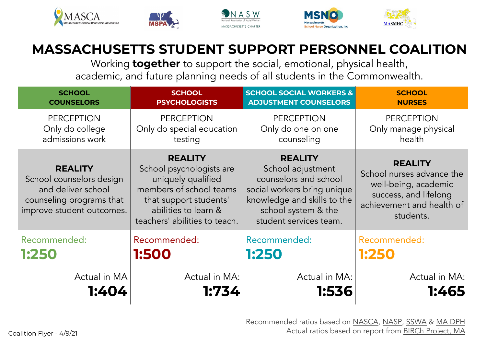





Working **together** to support the social, emotional, physical health, academic, and future planning needs of all students in the Commonwealth.

| <b>SCHOOL</b>                                                                                                             | <b>SCHOOL</b>                                                                                                                                                                  | <b>SCHOOL SOCIAL WORKERS &amp;</b>                                                                                                                                          | <b>SCHOOL</b>                                                                                                                          |
|---------------------------------------------------------------------------------------------------------------------------|--------------------------------------------------------------------------------------------------------------------------------------------------------------------------------|-----------------------------------------------------------------------------------------------------------------------------------------------------------------------------|----------------------------------------------------------------------------------------------------------------------------------------|
| <b>COUNSELORS</b>                                                                                                         | <b>PSYCHOLOGISTS</b>                                                                                                                                                           | <b>ADJUSTMENT COUNSELORS</b>                                                                                                                                                | <b>NURSES</b>                                                                                                                          |
| <b>PERCEPTION</b>                                                                                                         | <b>PERCEPTION</b>                                                                                                                                                              | <b>PERCEPTION</b>                                                                                                                                                           | <b>PERCEPTION</b>                                                                                                                      |
| Only do college                                                                                                           | Only do special education                                                                                                                                                      | Only do one on one                                                                                                                                                          | Only manage physical                                                                                                                   |
| admissions work                                                                                                           | testing                                                                                                                                                                        | counseling                                                                                                                                                                  | health                                                                                                                                 |
| <b>REALITY</b><br>School counselors design<br>and deliver school<br>counseling programs that<br>improve student outcomes. | <b>REALITY</b><br>School psychologists are<br>uniquely qualified<br>members of school teams<br>that support students'<br>abilities to learn &<br>teachers' abilities to teach. | <b>REALITY</b><br>School adjustment<br>counselors and school<br>social workers bring unique<br>knowledge and skills to the<br>school system & the<br>student services team. | <b>REALITY</b><br>School nurses advance the<br>well-being, academic<br>success, and lifelong<br>achievement and health of<br>students. |
| Recommended:                                                                                                              | Recommended:                                                                                                                                                                   | Recommended:                                                                                                                                                                | Recommended:                                                                                                                           |
| 1:250                                                                                                                     | 1:500                                                                                                                                                                          | 1:250                                                                                                                                                                       | 1:250                                                                                                                                  |
| Actual in MA                                                                                                              | Actual in MA:                                                                                                                                                                  | Actual in MA:                                                                                                                                                               | Actual in MA:                                                                                                                          |
| 1:404                                                                                                                     | 1:734                                                                                                                                                                          | 1:536                                                                                                                                                                       | 1:465                                                                                                                                  |

Recommended ratios based on [NASCA](https://www.schoolcounselor.org/school-counselors/asca-national-model/get-an-overview), [NASP](https://www.nasponline.org/standards-and-certification/nasp-practice-model/about-the-nasp-practice-model), [SSWA](https://www.sswaa.org/school-social-work) & [MA DPH](https://www.mass.gov/orgs/department-of-public-health) Coalition Flyer - 4/9/21 **Coalition Flyer - 4/9/21** Coalition Flyer - 4/9/21